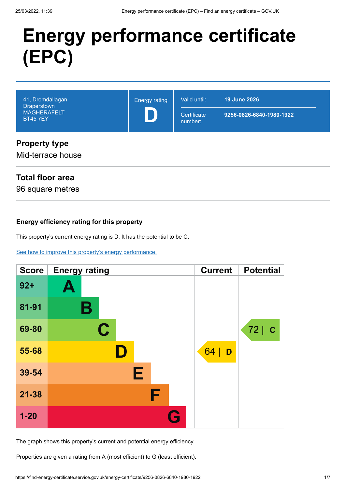# **Energy performance certificate (EPC)**

| 41, Dromdallagan<br><b>Draperstown</b><br><b>MAGHERAFELT</b><br><b>BT457EY</b> | <b>Energy rating</b> | Valid until:<br>Certificate<br>number: | <b>19 June 2026</b><br>9256-0826-6840-1980-1922 |
|--------------------------------------------------------------------------------|----------------------|----------------------------------------|-------------------------------------------------|
| <b>Property type</b><br>Mid-terrace house                                      |                      |                                        |                                                 |

## **Total floor area**

96 square metres

#### **Energy efficiency rating for this property**

This property's current energy rating is D. It has the potential to be C.

[See how to improve this property's energy performance.](#page-3-0)

| <b>Score</b> | <b>Energy rating</b> | <b>Current</b> | <b>Potential</b>   |
|--------------|----------------------|----------------|--------------------|
| $92+$        | Ą                    |                |                    |
| 81-91        | В                    |                |                    |
| 69-80        | $\mathbf C$          |                | 72 <br>$\mathbf C$ |
| 55-68        |                      | 64<br>D        |                    |
| 39-54        | Е                    |                |                    |
| $21 - 38$    | F                    |                |                    |
| $1 - 20$     | $\bullet$            |                |                    |

The graph shows this property's current and potential energy efficiency.

Properties are given a rating from A (most efficient) to G (least efficient).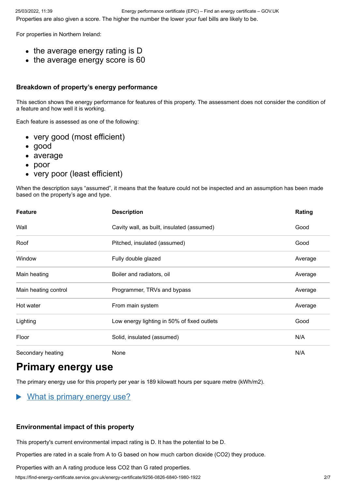For properties in Northern Ireland:

- the average energy rating is D
- the average energy score is 60

#### **Breakdown of property's energy performance**

This section shows the energy performance for features of this property. The assessment does not consider the condition of a feature and how well it is working.

Each feature is assessed as one of the following:

- very good (most efficient)
- good
- average
- poor
- very poor (least efficient)

When the description says "assumed", it means that the feature could not be inspected and an assumption has been made based on the property's age and type.

| <b>Feature</b>       | <b>Description</b>                          | Rating  |
|----------------------|---------------------------------------------|---------|
| Wall                 | Cavity wall, as built, insulated (assumed)  | Good    |
| Roof                 | Pitched, insulated (assumed)                | Good    |
| Window               | Fully double glazed                         | Average |
| Main heating         | Boiler and radiators, oil                   | Average |
| Main heating control | Programmer, TRVs and bypass                 | Average |
| Hot water            | From main system                            | Average |
| Lighting             | Low energy lighting in 50% of fixed outlets | Good    |
| Floor                | Solid, insulated (assumed)                  | N/A     |
| Secondary heating    | None                                        | N/A     |

# **Primary energy use**

The primary energy use for this property per year is 189 kilowatt hours per square metre (kWh/m2).

#### $\blacktriangleright$ What is primary energy use?

#### **Environmental impact of this property**

This property's current environmental impact rating is D. It has the potential to be D.

Properties are rated in a scale from A to G based on how much carbon dioxide (CO2) they produce.

Properties with an A rating produce less CO2 than G rated properties.

https://find-energy-certificate.service.gov.uk/energy-certificate/9256-0826-6840-1980-1922 2/7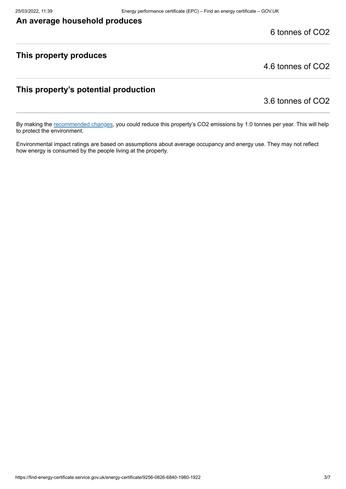#### **An average household produces**

6 tonnes of CO2

#### **This property produces**

4.6 tonnes of CO2

#### **This property's potential production**

3.6 tonnes of CO2

By making the [recommended changes](#page-3-0), you could reduce this property's CO2 emissions by 1.0 tonnes per year. This will help to protect the environment.

Environmental impact ratings are based on assumptions about average occupancy and energy use. They may not reflect how energy is consumed by the people living at the property.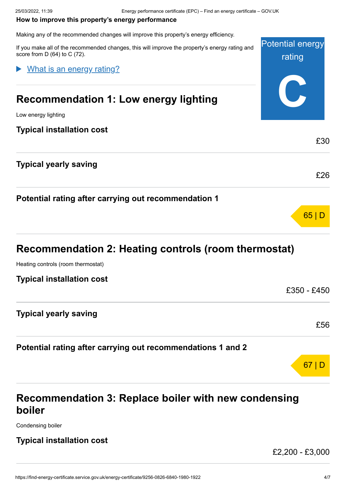#### <span id="page-3-0"></span>**How to improve this property's energy performance**

Making any of the recommended changes will improve this property's energy efficiency.

| If you make all of the recommended changes, this will improve the property's energy rating and<br>score from $D(64)$ to $C(72)$ . | <b>Potential energy</b><br>rating |
|-----------------------------------------------------------------------------------------------------------------------------------|-----------------------------------|
| What is an energy rating?                                                                                                         |                                   |
| <b>Recommendation 1: Low energy lighting</b>                                                                                      |                                   |
| Low energy lighting                                                                                                               |                                   |
| <b>Typical installation cost</b>                                                                                                  |                                   |
|                                                                                                                                   | £30                               |
| <b>Typical yearly saving</b>                                                                                                      |                                   |
|                                                                                                                                   | £26                               |
| Potential rating after carrying out recommendation 1                                                                              |                                   |
|                                                                                                                                   | 65                                |
|                                                                                                                                   |                                   |

# **Recommendation 2: Heating controls (room thermostat)**

Heating controls (room thermostat)

| <b>Typical installation cost</b>                            |             |
|-------------------------------------------------------------|-------------|
|                                                             | £350 - £450 |
| <b>Typical yearly saving</b>                                |             |
|                                                             | £56         |
| Potential rating after carrying out recommendations 1 and 2 |             |

# **Recommendation 3: Replace boiler with new condensing boiler**

Condensing boiler

#### **Typical installation cost**

£2,200 - £3,000

67 | D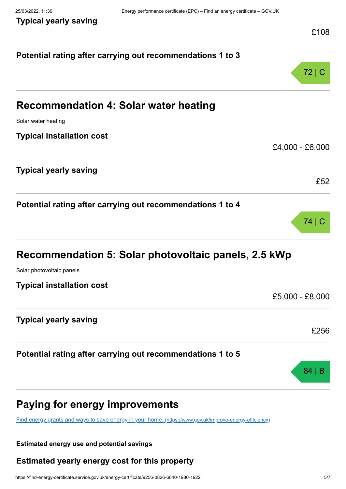**Typical yearly saving**

|                                                                                                         | £108            |
|---------------------------------------------------------------------------------------------------------|-----------------|
| Potential rating after carrying out recommendations 1 to 3                                              |                 |
|                                                                                                         | 72 C            |
| <b>Recommendation 4: Solar water heating</b>                                                            |                 |
| Solar water heating                                                                                     |                 |
| <b>Typical installation cost</b>                                                                        |                 |
|                                                                                                         | £4,000 - £6,000 |
| <b>Typical yearly saving</b>                                                                            |                 |
|                                                                                                         | £52             |
| Potential rating after carrying out recommendations 1 to 4                                              |                 |
|                                                                                                         | 74 C            |
| Recommendation 5: Solar photovoltaic panels, 2.5 kWp                                                    |                 |
| Solar photovoltaic panels                                                                               |                 |
| <b>Typical installation cost</b>                                                                        |                 |
|                                                                                                         | £5,000 - £8,000 |
| <b>Typical yearly saving</b>                                                                            |                 |
|                                                                                                         | £256            |
| Potential rating after carrying out recommendations 1 to 5                                              |                 |
|                                                                                                         | 84              |
| Paying for energy improvements                                                                          |                 |
| Find energy grants and ways to save energy in your home. (https://www.gov.uk/improve-energy-efficiency) |                 |
|                                                                                                         |                 |

#### **Estimated energy use and potential savings**

## **Estimated yearly energy cost for this property**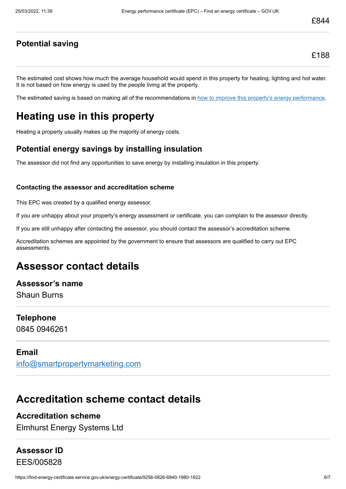#### **Potential saving**

The estimated cost shows how much the average household would spend in this property for heating, lighting and hot water. It is not based on how energy is used by the people living at the property.

The estimated saving is based on making all of the recommendations in [how to improve this property's energy performance.](#page-3-0)

## **Heating use in this property**

Heating a property usually makes up the majority of energy costs.

#### **Potential energy savings by installing insulation**

The assessor did not find any opportunities to save energy by installing insulation in this property.

#### **Contacting the assessor and accreditation scheme**

This EPC was created by a qualified energy assessor.

If you are unhappy about your property's energy assessment or certificate, you can complain to the assessor directly.

If you are still unhappy after contacting the assessor, you should contact the assessor's accreditation scheme.

Accreditation schemes are appointed by the government to ensure that assessors are qualified to carry out EPC assessments.

## **Assessor contact details**

**Assessor's name** Shaun Burns

**Telephone** 0845 0946261

#### **Email**

[info@smartpropertymarketing.com](mailto:info@smartpropertymarketing.com)

## **Accreditation scheme contact details**

#### **Accreditation scheme**

Elmhurst Energy Systems Ltd

## **Assessor ID** EES/005828